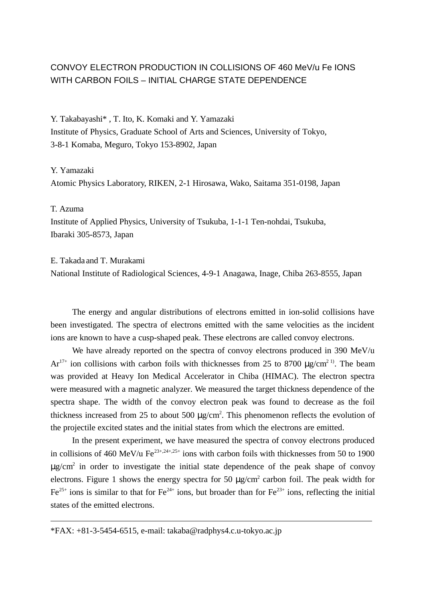# CONVOY ELECTRON PRODUCTION IN COLLISIONS OF 460 MeV/u Fe IONS WITH CARBON FOILS – INITIAL CHARGE STATE DEPENDENCE

Y. Takabayashi\* , T. Ito, K. Komaki and Y. Yamazaki Institute of Physics, Graduate School of Arts and Sciences, University of Tokyo, 3-8-1 Komaba, Meguro, Tokyo 153-8902, Japan

## Y. Yamazaki

Atomic Physics Laboratory, RIKEN, 2-1 Hirosawa, Wako, Saitama 351-0198, Japan

## T. Azuma

l

Institute of Applied Physics, University of Tsukuba, 1-1-1 Ten-nohdai, Tsukuba, Ibaraki 305-8573, Japan

#### E. Takada and T. Murakami

National Institute of Radiological Sciences, 4-9-1 Anagawa, Inage, Chiba 263-8555, Japan

 The energy and angular distributions of electrons emitted in ion-solid collisions have been investigated. The spectra of electrons emitted with the same velocities as the incident ions are known to have a cusp-shaped peak. These electrons are called convoy electrons.

We have already reported on the spectra of convoy electrons produced in 390 MeV/u  $Ar^{17+}$  ion collisions with carbon foils with thicknesses from 25 to 8700  $\mu$ g/cm<sup>2 1)</sup>. The beam was provided at Heavy Ion Medical Accelerator in Chiba (HIMAC). The electron spectra were measured with a magnetic analyzer. We measured the target thickness dependence of the spectra shape. The width of the convoy electron peak was found to decrease as the foil thickness increased from 25 to about 500  $\mu$ g/cm<sup>2</sup>. This phenomenon reflects the evolution of the projectile excited states and the initial states from which the electrons are emitted.

 In the present experiment, we have measured the spectra of convoy electrons produced in collisions of 460 MeV/u Fe<sup> $23+,24+,25+$ </sup> ions with carbon foils with thicknesses from 50 to 1900  $\mu$ g/cm<sup>2</sup> in order to investigate the initial state dependence of the peak shape of convoy electrons. Figure 1 shows the energy spectra for 50  $\mu$ g/cm<sup>2</sup> carbon foil. The peak width for  $Fe^{25+}$  ions is similar to that for  $Fe^{24+}$  ions, but broader than for  $Fe^{23+}$  ions, reflecting the initial states of the emitted electrons.

 $*FAX: +81-3-5454-6515$ , e-mail: takaba@radphys4.c.u-tokyo.ac.jp